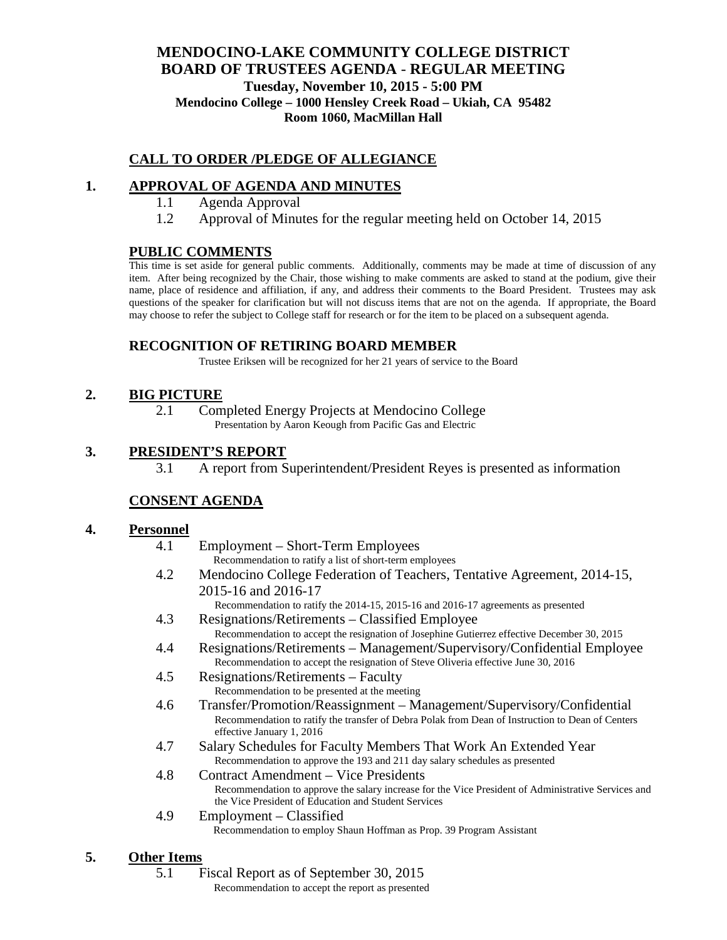## **MENDOCINO-LAKE COMMUNITY COLLEGE DISTRICT BOARD OF TRUSTEES AGENDA** - **REGULAR MEETING Tuesday, November 10, 2015 - 5:00 PM Mendocino College – 1000 Hensley Creek Road – Ukiah, CA 95482 Room 1060, MacMillan Hall**

# **CALL TO ORDER /PLEDGE OF ALLEGIANCE**

# **1. APPROVAL OF AGENDA AND MINUTES**

- 1.1 Agenda Approval
- 1.2 Approval of Minutes for the regular meeting held on October 14, 2015

### **PUBLIC COMMENTS**

This time is set aside for general public comments. Additionally, comments may be made at time of discussion of any item. After being recognized by the Chair, those wishing to make comments are asked to stand at the podium, give their name, place of residence and affiliation, if any, and address their comments to the Board President. Trustees may ask questions of the speaker for clarification but will not discuss items that are not on the agenda. If appropriate, the Board may choose to refer the subject to College staff for research or for the item to be placed on a subsequent agenda.

## **RECOGNITION OF RETIRING BOARD MEMBER**

Trustee Eriksen will be recognized for her 21 years of service to the Board

## **2. BIG PICTURE**

2.1 Completed Energy Projects at Mendocino College Presentation by Aaron Keough from Pacific Gas and Electric

### **3. PRESIDENT'S REPORT**

3.1 A report from Superintendent/President Reyes is presented as information

## **CONSENT AGENDA**

#### **4. Personnel**

- 4.1 Employment Short-Term Employees Recommendation to ratify a list of short-term employees
- 4.2 Mendocino College Federation of Teachers, Tentative Agreement, 2014-15, 2015-16 and 2016-17
	- Recommendation to ratify the 2014-15, 2015-16 and 2016-17 agreements as presented
- 4.3 Resignations/Retirements Classified Employee Recommendation to accept the resignation of Josephine Gutierrez effective December 30, 2015
- 4.4 Resignations/Retirements Management/Supervisory/Confidential Employee Recommendation to accept the resignation of Steve Oliveria effective June 30, 2016
- 4.5 Resignations/Retirements Faculty Recommendation to be presented at the meeting
- 4.6 Transfer/Promotion/Reassignment Management/Supervisory/Confidential Recommendation to ratify the transfer of Debra Polak from Dean of Instruction to Dean of Centers effective January 1, 2016
- 4.7 Salary Schedules for Faculty Members That Work An Extended Year Recommendation to approve the 193 and 211 day salary schedules as presented
- 4.8 Contract Amendment Vice Presidents Recommendation to approve the salary increase for the Vice President of Administrative Services and the Vice President of Education and Student Services
- 4.9 Employment Classified Recommendation to employ Shaun Hoffman as Prop. 39 Program Assistant

## **5. Other Items**

5.1 Fiscal Report as of September 30, 2015

Recommendation to accept the report as presented